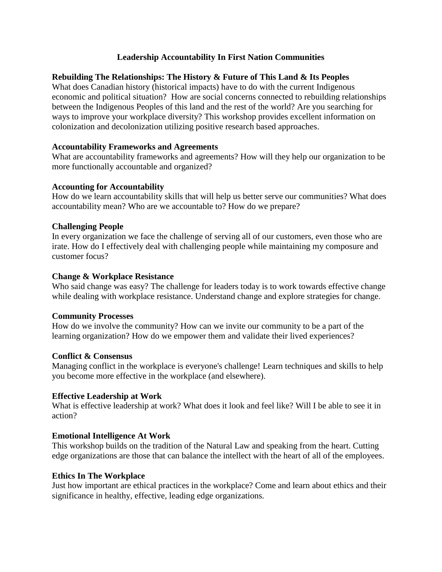# **Leadership Accountability In First Nation Communities**

# **Rebuilding The Relationships: The History & Future of This Land & Its Peoples**

What does Canadian history (historical impacts) have to do with the current Indigenous economic and political situation? How are social concerns connected to rebuilding relationships between the Indigenous Peoples of this land and the rest of the world? Are you searching for ways to improve your workplace diversity? This workshop provides excellent information on colonization and decolonization utilizing positive research based approaches.

### **Accountability Frameworks and Agreements**

What are accountability frameworks and agreements? How will they help our organization to be more functionally accountable and organized?

#### **Accounting for Accountability**

How do we learn accountability skills that will help us better serve our communities? What does accountability mean? Who are we accountable to? How do we prepare?

## **Challenging People**

In every organization we face the challenge of serving all of our customers, even those who are irate. How do I effectively deal with challenging people while maintaining my composure and customer focus?

#### **Change & Workplace Resistance**

Who said change was easy? The challenge for leaders today is to work towards effective change while dealing with workplace resistance. Understand change and explore strategies for change.

#### **Community Processes**

How do we involve the community? How can we invite our community to be a part of the learning organization? How do we empower them and validate their lived experiences?

#### **Conflict & Consensus**

Managing conflict in the workplace is everyone's challenge! Learn techniques and skills to help you become more effective in the workplace (and elsewhere).

## **Effective Leadership at Work**

What is effective leadership at work? What does it look and feel like? Will I be able to see it in action?

## **Emotional Intelligence At Work**

This workshop builds on the tradition of the Natural Law and speaking from the heart. Cutting edge organizations are those that can balance the intellect with the heart of all of the employees.

#### **Ethics In The Workplace**

Just how important are ethical practices in the workplace? Come and learn about ethics and their significance in healthy, effective, leading edge organizations.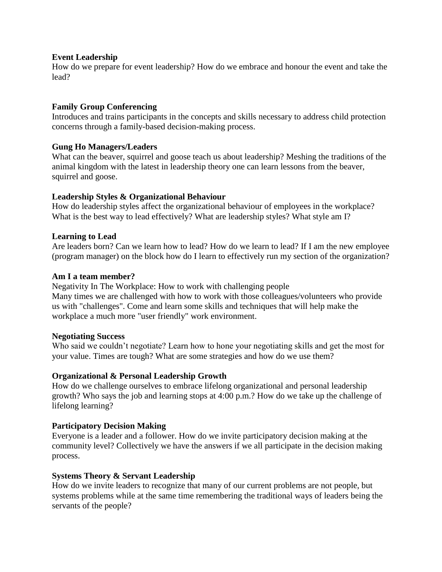#### **Event Leadership**

How do we prepare for event leadership? How do we embrace and honour the event and take the lead?

## **Family Group Conferencing**

Introduces and trains participants in the concepts and skills necessary to address child protection concerns through a family-based decision-making process.

## **Gung Ho Managers/Leaders**

What can the beaver, squirrel and goose teach us about leadership? Meshing the traditions of the animal kingdom with the latest in leadership theory one can learn lessons from the beaver, squirrel and goose.

# **Leadership Styles & Organizational Behaviour**

How do leadership styles affect the organizational behaviour of employees in the workplace? What is the best way to lead effectively? What are leadership styles? What style am I?

## **Learning to Lead**

Are leaders born? Can we learn how to lead? How do we learn to lead? If I am the new employee (program manager) on the block how do I learn to effectively run my section of the organization?

## **Am I a team member?**

Negativity In The Workplace: How to work with challenging people Many times we are challenged with how to work with those colleagues/volunteers who provide us with "challenges". Come and learn some skills and techniques that will help make the workplace a much more "user friendly" work environment.

## **Negotiating Success**

Who said we couldn't negotiate? Learn how to hone your negotiating skills and get the most for your value. Times are tough? What are some strategies and how do we use them?

## **Organizational & Personal Leadership Growth**

How do we challenge ourselves to embrace lifelong organizational and personal leadership growth? Who says the job and learning stops at 4:00 p.m.? How do we take up the challenge of lifelong learning?

## **Participatory Decision Making**

Everyone is a leader and a follower. How do we invite participatory decision making at the community level? Collectively we have the answers if we all participate in the decision making process.

## **Systems Theory & Servant Leadership**

How do we invite leaders to recognize that many of our current problems are not people, but systems problems while at the same time remembering the traditional ways of leaders being the servants of the people?